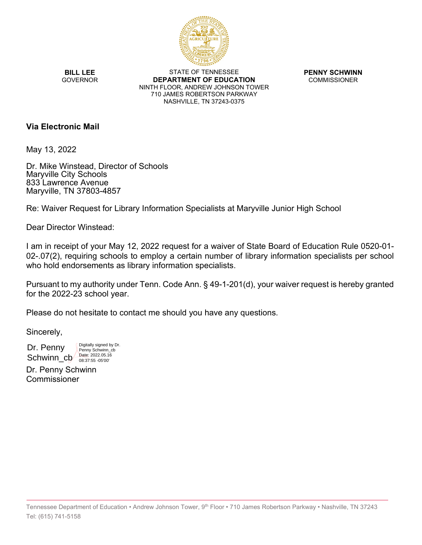

**BILL LEE GOVERNOR** 

STATE OF TENNESSEE **DEPARTMENT OF EDUCATION** NINTH FLOOR, ANDREW JOHNSON TOWER 710 JAMES ROBERTSON PARKWAY NASHVILLE, TN 37243-0375

**PENNY SCHWINN** COMMISSIONER

# **Via Electronic Mail**

May 13, 2022

Dr. Mike Winstead, Director of Schools Maryville City Schools 833 Lawrence Avenue Maryville, TN 37803-4857

Re: Waiver Request for Library Information Specialists at Maryville Junior High School

Dear Director Winstead:

I am in receipt of your May 12, 2022 request for a waiver of State Board of Education Rule 0520-01- 02-.07(2), requiring schools to employ a certain number of library information specialists per school who hold endorsements as library information specialists.

Pursuant to my authority under Tenn. Code Ann. § 49-1-201(d), your waiver request is hereby granted for the 2022-23 school year.

Please do not hesitate to contact me should you have any questions.

Sincerely,

Dr. Penny Schwinn\_cb Date: 2022.05.16 Digitally signed by Dr. Penny Schwinn\_cb

Dr. Penny Schwinn Commissioner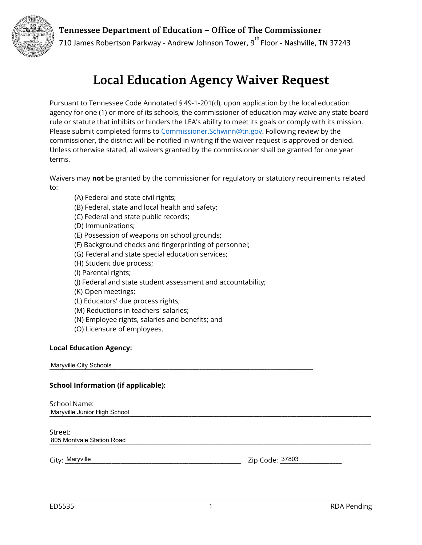Tennessee Department of Education - Office of The Commissioner



710 James Robertson Parkway - Andrew Johnson Tower,  $9^{th}$  Floor - Nashville, TN 37243

# **Local Education Agency Waiver Request**

Pursuant to Tennessee Code Annotated § 49-1-201(d), upon application by the local education agency for one (1) or more of its schools, the commissioner of education may waive any state board rule or statute that inhibits or hinders the LEA's ability to meet its goals or comply with its mission. Please submit completed forms to [Commissioner.Schwinn@tn.gov](mailto:Commissioner.Schwinn@tn.gov). Following review by the commissioner, the district will be notified in writing if the waiver request is approved or denied. Unless otherwise stated, all waivers granted by the commissioner shall be granted for one year terms.

Waivers may **not** be granted by the commissioner for regulatory or statutory requirements related to:

- (A) Federal and state civil rights;
- (B) Federal, state and local health and safety;
- (C) Federal and state public records;
- (D) Immunizations;
- (E) Possession of weapons on school grounds;
- (F) Background checks and fingerprinting of personnel;
- (G) Federal and state special education services;
- (H) Student due process;
- (I) Parental rights;
- (J) Federal and state student assessment and accountability;
- (K) Open meetings;
- (L) Educators' due process rights;
- (M) Reductions in teachers' salaries;
- (N) Employee rights, salaries and benefits; and
- (O) Licensure of employees.

## **Local Education Agency:**

**Maryville City Schools** 

### **School Information (if applicable):**

School Name: Maryville Junior High School **Department of the Contract of the Contract of the Contract of the Contract of the Contract of the Contract of the Contract of the Contract of the Contract of the Contract of the Contract of th** 

Street: 805 Montvale Station Road **Andrew Property and American Control**er and American Control of the American Control of the American Control of the American Control of the American Control of the American Control of the America

City: \_\_\_\_\_\_\_\_\_\_\_\_\_\_\_\_\_\_\_\_\_\_\_\_\_\_\_\_\_\_\_\_\_\_\_\_\_\_\_\_\_\_\_\_\_\_\_\_\_\_\_\_\_\_\_\_\_ Zip Code: \_\_\_\_\_\_\_\_\_\_\_\_\_\_\_\_\_\_\_\_ Maryville 37803